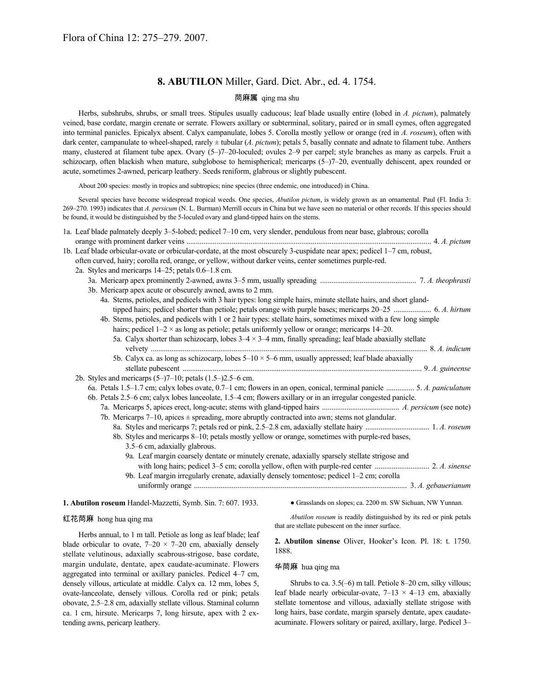# **8. ABUTILON** Miller, Gard. Dict. Abr., ed. 4. 1754.

# 苘麻属 qing ma shu

Herbs, subshrubs, shrubs, or small trees. Stipules usually caducous; leaf blade usually entire (lobed in *A. pictum*), palmately veined, base cordate, margin crenate or serrate. Flowers axillary or subterminal, solitary, paired or in small cymes, often aggregated into terminal panicles. Epicalyx absent. Calyx campanulate, lobes 5. Corolla mostly yellow or orange (red in *A. roseum*), often with dark center, campanulate to wheel-shaped, rarely  $\pm$  tubular (*A. pictum*); petals 5, basally connate and adnate to filament tube. Anthers many, clustered at filament tube apex. Ovary (5–)7–20-loculed; ovules 2–9 per carpel; style branches as many as carpels. Fruit a schizocarp, often blackish when mature, subglobose to hemispherical; mericarps (5–)7–20, eventually dehiscent, apex rounded or acute, sometimes 2-awned, pericarp leathery. Seeds reniform, glabrous or slightly pubescent.

About 200 species: mostly in tropics and subtropics; nine species (three endemic, one introduced) in China.

Several species have become widespread tropical weeds. One species, *Abutilon pictum*, is widely grown as an ornamental. Paul (Fl. India 3: 269–270. 1993) indicates that *A. persicum* (N. L. Burman) Merrill occurs in China but we have seen no material or other records. If this species should be found, it would be distinguished by the 5-loculed ovary and gland-tipped hairs on the stems.

|                                                                                                                            | 1a. Leaf blade palmately deeply 3-5-lobed; pedicel 7-10 cm, very slender, pendulous from near base, glabrous; corolla     |  |
|----------------------------------------------------------------------------------------------------------------------------|---------------------------------------------------------------------------------------------------------------------------|--|
|                                                                                                                            | 1b. Leaf blade orbicular-ovate or orbicular-cordate, at the most obscurely 3-cuspidate near apex; pedicel 1-7 cm, robust, |  |
|                                                                                                                            | often curved, hairy; corolla red, orange, or yellow, without darker veins, center sometimes purple-red.                   |  |
|                                                                                                                            | 2a. Styles and mericarps 14–25; petals 0.6–1.8 cm.                                                                        |  |
|                                                                                                                            |                                                                                                                           |  |
|                                                                                                                            | 3b. Mericarp apex acute or obscurely awned, awns to 2 mm.                                                                 |  |
|                                                                                                                            | 4a. Stems, petioles, and pedicels with 3 hair types: long simple hairs, minute stellate hairs, and short gland-           |  |
|                                                                                                                            | tipped hairs; pedicel shorter than petiole; petals orange with purple bases; mericarps 20–25  6. A. hirtum                |  |
|                                                                                                                            | 4b. Stems, petioles, and pedicels with 1 or 2 hair types: stellate hairs, sometimes mixed with a few long simple          |  |
|                                                                                                                            | hairs; pedicel $1-2 \times$ as long as petiole; petals uniformly yellow or orange; mericarps $14-20$ .                    |  |
|                                                                                                                            | 5a. Calyx shorter than schizocarp, lobes $3-4 \times 3-4$ mm, finally spreading; leaf blade abaxially stellate            |  |
|                                                                                                                            |                                                                                                                           |  |
|                                                                                                                            | 5b. Calyx ca. as long as schizocarp, lobes $5-10 \times 5-6$ mm, usually appressed; leaf blade abaxially                  |  |
|                                                                                                                            |                                                                                                                           |  |
|                                                                                                                            | 2b. Styles and mericarps $(5–)7–10$ ; petals $(1.5–)2.5–6$ cm.                                                            |  |
|                                                                                                                            | 6a. Petals 1.5–1.7 cm; calyx lobes ovate, 0.7–1 cm; flowers in an open, conical, terminal panicle  5. A. paniculatum      |  |
|                                                                                                                            | 6b. Petals 2.5–6 cm; calyx lobes lanceolate, 1.5–4 cm; flowers axillary or in an irregular congested panicle.             |  |
|                                                                                                                            |                                                                                                                           |  |
| 7b. Mericarps 7–10, apices $\pm$ spreading, more abruptly contracted into awn; stems not glandular.                        |                                                                                                                           |  |
|                                                                                                                            |                                                                                                                           |  |
|                                                                                                                            | 8b. Styles and mericarps 8–10; petals mostly yellow or orange, sometimes with purple-red bases,                           |  |
|                                                                                                                            | 3.5–6 cm, adaxially glabrous.                                                                                             |  |
|                                                                                                                            | 9a. Leaf margin coarsely dentate or minutely crenate, adaxially sparsely stellate strigose and                            |  |
|                                                                                                                            |                                                                                                                           |  |
|                                                                                                                            | 9b. Leaf margin irregularly crenate, adaxially densely tomentose; pedicel 1-2 cm; corolla                                 |  |
|                                                                                                                            |                                                                                                                           |  |
|                                                                                                                            |                                                                                                                           |  |
| • Grasslands on slopes; ca. 2200 m. SW Sichuan, NW Yunnan.<br>1. Abutilon roseum Handel-Mazzetti, Symb. Sin. 7: 607. 1933. |                                                                                                                           |  |

### 红花苘麻 hong hua qing ma

*Abutilon roseum* is readily distinguished by its red or pink petals

Herbs annual, to 1 m tall. Petiole as long as leaf blade; leaf blade orbicular to ovate,  $7-20 \times 7-20$  cm, abaxially densely stellate velutinous, adaxially scabrous-strigose, base cordate, margin undulate, dentate, apex caudate-acuminate. Flowers aggregated into terminal or axillary panicles. Pedicel 4–7 cm, densely villous, articulate at middle. Calyx ca. 12 mm, lobes 5, ovate-lanceolate, densely villous. Corolla red or pink; petals obovate, 2.5–2.8 cm, adaxially stellate villous. Staminal column ca. 1 cm, hirsute. Mericarps 7, long hirsute, apex with 2 extending awns, pericarp leathery.

that are stellate pubescent on the inner surface.

**2. Abutilon sinense** Oliver, Hooker's Icon. Pl. 18: t. 1750. 1888.

# 华苘麻 hua qing ma

Shrubs to ca. 3.5(–6) m tall. Petiole 8–20 cm, silky villous; leaf blade nearly orbicular-ovate,  $7-13 \times 4-13$  cm, abaxially stellate tomentose and villous, adaxially stellate strigose with long hairs, base cordate, margin sparsely dentate, apex caudateacuminate. Flowers solitary or paired, axillary, large. Pedicel 3–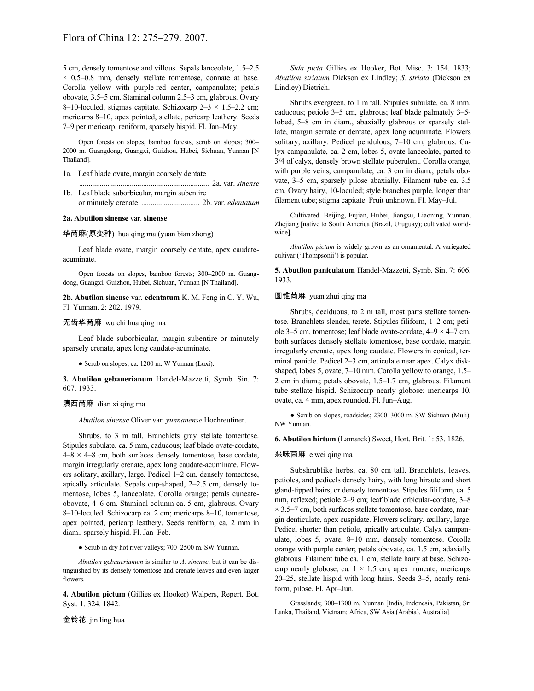5 cm, densely tomentose and villous. Sepals lanceolate, 1.5–2.5  $\times$  0.5–0.8 mm, densely stellate tomentose, connate at base. Corolla yellow with purple-red center, campanulate; petals obovate, 3.5–5 cm. Staminal column 2.5–3 cm, glabrous. Ovary 8–10-loculed; stigmas capitate. Schizocarp  $2-3 \times 1.5-2.2$  cm; mericarps 8–10, apex pointed, stellate, pericarp leathery. Seeds 7–9 per mericarp, reniform, sparsely hispid. Fl. Jan–May.

Open forests on slopes, bamboo forests, scrub on slopes; 300– 2000 m. Guangdong, Guangxi, Guizhou, Hubei, Sichuan, Yunnan [N Thailand].

- 1a. Leaf blade ovate, margin coarsely dentate
- ..................................................................... 2a. var. *sinense* 1b. Leaf blade suborbicular, margin subentire or minutely crenate ............................... 2b. var. *edentatum*

#### **2a. Abutilon sinense** var. **sinense**

# 华苘麻(原变种) hua qing ma (yuan bian zhong)

Leaf blade ovate, margin coarsely dentate, apex caudateacuminate.

Open forests on slopes, bamboo forests; 300–2000 m. Guangdong, Guangxi, Guizhou, Hubei, Sichuan, Yunnan [N Thailand].

**2b. Abutilon sinense** var. **edentatum** K. M. Feng in C. Y. Wu, Fl. Yunnan. 2: 202. 1979.

## 无齿华苘麻 wu chi hua qing ma

Leaf blade suborbicular, margin subentire or minutely sparsely crenate, apex long caudate-acuminate.

● Scrub on slopes; ca. 1200 m. W Yunnan (Luxi).

**3. Abutilon gebauerianum** Handel-Mazzetti, Symb. Sin. 7: 607. 1933.

#### 滇西苘麻 dian xi qing ma

*Abutilon sinense* Oliver var. *yunnanense* Hochreutiner.

Shrubs, to 3 m tall. Branchlets gray stellate tomentose. Stipules subulate, ca. 5 mm, caducous; leaf blade ovate-cordate,  $4-8 \times 4-8$  cm, both surfaces densely tomentose, base cordate, margin irregularly crenate, apex long caudate-acuminate. Flowers solitary, axillary, large. Pedicel 1–2 cm, densely tomentose, apically articulate. Sepals cup-shaped, 2–2.5 cm, densely tomentose, lobes 5, lanceolate. Corolla orange; petals cuneateobovate, 4–6 cm. Staminal column ca. 5 cm, glabrous. Ovary 8–10-loculed. Schizocarp ca. 2 cm; mericarps 8–10, tomentose, apex pointed, pericarp leathery. Seeds reniform, ca. 2 mm in diam., sparsely hispid. Fl. Jan–Feb.

● Scrub in dry hot river valleys; 700–2500 m. SW Yunnan.

*Abutilon gebauerianum* is similar to *A. sinense*, but it can be distinguished by its densely tomentose and crenate leaves and even larger flowers.

**4. Abutilon pictum** (Gillies ex Hooker) Walpers, Repert. Bot. Syst. 1: 324. 1842.

金铃花 jin ling hua

*Sida picta* Gillies ex Hooker, Bot. Misc. 3: 154. 1833; *Abutilon striatum* Dickson ex Lindley; *S. striata* (Dickson ex Lindley) Dietrich.

Shrubs evergreen, to 1 m tall. Stipules subulate, ca. 8 mm, caducous; petiole 3–5 cm, glabrous; leaf blade palmately 3–5 lobed, 5–8 cm in diam., abaxially glabrous or sparsely stellate, margin serrate or dentate, apex long acuminate. Flowers solitary, axillary. Pedicel pendulous, 7–10 cm, glabrous. Calyx campanulate, ca. 2 cm, lobes 5, ovate-lanceolate, parted to 3/4 of calyx, densely brown stellate puberulent. Corolla orange, with purple veins, campanulate, ca. 3 cm in diam.; petals obovate, 3–5 cm, sparsely pilose abaxially. Filament tube ca. 3.5 cm. Ovary hairy, 10-loculed; style branches purple, longer than filament tube; stigma capitate. Fruit unknown. Fl. May–Jul.

Cultivated. Beijing, Fujian, Hubei, Jiangsu, Liaoning, Yunnan, Zhejiang [native to South America (Brazil, Uruguay); cultivated worldwide].

*Abutilon pictum* is widely grown as an ornamental. A variegated cultivar ('Thompsonii') is popular.

**5. Abutilon paniculatum** Handel-Mazzetti, Symb. Sin. 7: 606. 1933.

### 圆锥苘麻 yuan zhui qing ma

Shrubs, deciduous, to 2 m tall, most parts stellate tomentose. Branchlets slender, terete. Stipules filiform, 1–2 cm; petiole 3–5 cm, tomentose; leaf blade ovate-cordate,  $4-9 \times 4-7$  cm, both surfaces densely stellate tomentose, base cordate, margin irregularly crenate, apex long caudate. Flowers in conical, terminal panicle. Pedicel 2–3 cm, articulate near apex. Calyx diskshaped, lobes 5, ovate, 7–10 mm. Corolla yellow to orange, 1.5– 2 cm in diam.; petals obovate, 1.5–1.7 cm, glabrous. Filament tube stellate hispid. Schizocarp nearly globose; mericarps 10, ovate, ca. 4 mm, apex rounded. Fl. Jun–Aug.

• Scrub on slopes, roadsides; 2300–3000 m. SW Sichuan (Muli), NW Yunnan.

**6. Abutilon hirtum** (Lamarck) Sweet, Hort. Brit. 1: 53. 1826.

### 恶味苘麻 e wei qing ma

Subshrublike herbs, ca. 80 cm tall. Branchlets, leaves, petioles, and pedicels densely hairy, with long hirsute and short gland-tipped hairs, or densely tomentose. Stipules filiform, ca. 5 mm, reflexed; petiole 2–9 cm; leaf blade orbicular-cordate, 3–8  $\times$  3.5–7 cm, both surfaces stellate tomentose, base cordate, margin denticulate, apex cuspidate. Flowers solitary, axillary, large. Pedicel shorter than petiole, apically articulate. Calyx campanulate, lobes 5, ovate, 8–10 mm, densely tomentose. Corolla orange with purple center; petals obovate, ca. 1.5 cm, adaxially glabrous. Filament tube ca. 1 cm, stellate hairy at base. Schizocarp nearly globose, ca.  $1 \times 1.5$  cm, apex truncate; mericarps 20–25, stellate hispid with long hairs. Seeds 3–5, nearly reniform, pilose. Fl. Apr–Jun.

Grasslands; 300–1300 m. Yunnan [India, Indonesia, Pakistan, Sri Lanka, Thailand, Vietnam; Africa, SW Asia (Arabia), Australia].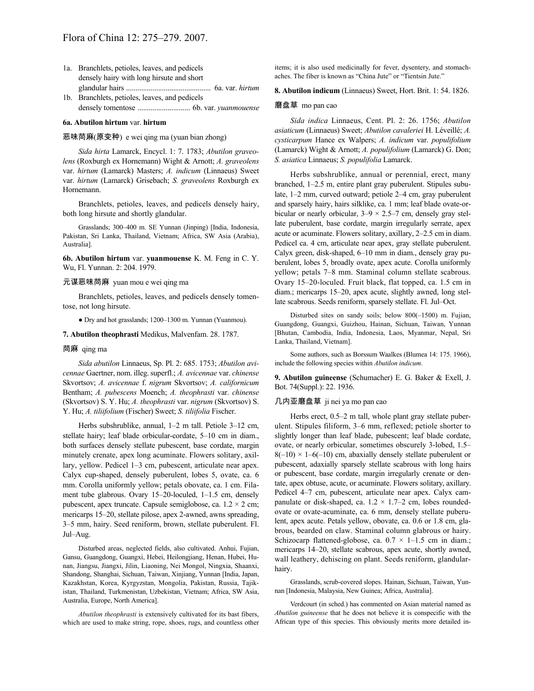- 1a. Branchlets, petioles, leaves, and pedicels densely hairy with long hirsute and short glandular hairs ............................................. 6a. var. *hirtum*
- 1b. Branchlets, petioles, leaves, and pedicels densely tomentose ............................ 6b. var. *yuanmouense*

#### **6a. Abutilon hirtum** var. **hirtum**

#### 恶味苘麻(原变种) e wei qing ma (yuan bian zhong)

*Sida hirta* Lamarck, Encycl. 1: 7. 1783; *Abutilon graveolens* (Roxburgh ex Hornemann) Wight & Arnott; *A. graveolens* var. *hirtum* (Lamarck) Masters; *A. indicum* (Linnaeus) Sweet var. *hirtum* (Lamarck) Grisebach; *S. graveolens* Roxburgh ex Hornemann.

Branchlets, petioles, leaves, and pedicels densely hairy, both long hirsute and shortly glandular.

Grasslands; 300–400 m. SE Yunnan (Jinping) [India, Indonesia, Pakistan, Sri Lanka, Thailand, Vietnam; Africa, SW Asia (Arabia), Australia].

**6b. Abutilon hirtum** var. **yuanmouense** K. M. Feng in C. Y. Wu, Fl. Yunnan. 2: 204. 1979.

#### 元谋恶味苘麻 yuan mou e wei qing ma

Branchlets, petioles, leaves, and pedicels densely tomentose, not long hirsute.

● Dry and hot grasslands; 1200–1300 m. Yunnan (Yuanmou).

#### **7. Abutilon theophrasti** Medikus, Malvenfam. 28. 1787.

#### 苘麻 qing ma

*Sida abutilon* Linnaeus, Sp. Pl. 2: 685. 1753; *Abutilon avicennae* Gaertner, nom. illeg.superfl.; *A. avicennae* var. *chinense* Skvortsov; *A. avicennae* f. *nigrum* Skvortsov; *A. californicum* Bentham; *A. pubescens* Moench; *A. theophrasti* var. *chinense* (Skvortsov) S. Y. Hu; *A. theophrasti* var. *nigrum* (Skvortsov) S. Y. Hu; *A. tiliifolium* (Fischer) Sweet; *S. tiliifolia* Fischer.

Herbs subshrublike, annual, 1–2 m tall. Petiole 3–12 cm, stellate hairy; leaf blade orbicular-cordate, 5–10 cm in diam., both surfaces densely stellate pubescent, base cordate, margin minutely crenate, apex long acuminate. Flowers solitary, axillary, yellow. Pedicel 1–3 cm, pubescent, articulate near apex. Calyx cup-shaped, densely puberulent, lobes 5, ovate, ca. 6 mm. Corolla uniformly yellow; petals obovate, ca. 1 cm. Filament tube glabrous. Ovary 15–20-loculed, 1–1.5 cm, densely pubescent, apex truncate. Capsule semiglobose, ca.  $1.2 \times 2$  cm; mericarps 15–20, stellate pilose, apex 2-awned, awns spreading, 3–5 mm, hairy. Seed reniform, brown, stellate puberulent. Fl. Jul–Aug.

Disturbed areas, neglected fields, also cultivated. Anhui, Fujian, Gansu, Guangdong, Guangxi, Hebei, Heilongjiang, Henan, Hubei, Hunan, Jiangsu, Jiangxi, Jilin, Liaoning, Nei Mongol, Ningxia, Shaanxi, Shandong, Shanghai, Sichuan, Taiwan, Xinjiang, Yunnan [India, Japan, Kazakhstan, Korea, Kyrgyzstan, Mongolia, Pakistan, Russia, Tajikistan, Thailand, Turkmenistan, Uzbekistan, Vietnam; Africa, SW Asia, Australia, Europe, North America].

*Abutilon theophrasti* is extensively cultivated for its bast fibers, which are used to make string, rope, shoes, rugs, and countless other items; it is also used medicinally for fever, dysentery, and stomachaches. The fiber is known as "China Jute" or "Tientsin Jute."

**8. Abutilon indicum** (Linnaeus) Sweet, Hort. Brit. 1: 54. 1826.

#### 磨盘草 mo pan cao

*Sida indica* Linnaeus, Cent. Pl. 2: 26. 1756; *Abutilon asiaticum* (Linnaeus) Sweet; *Abutilon cavaleriei* H. Léveillé; *A. cysticarpum* Hance ex Walpers; *A. indicum* var. *populifolium* (Lamarck) Wight & Arnott; *A. populifolium* (Lamarck) G. Don; *S. asiatica* Linnaeus; *S. populifolia* Lamarck.

Herbs subshrublike, annual or perennial, erect, many branched, 1–2.5 m, entire plant gray puberulent. Stipules subulate, 1–2 mm, curved outward; petiole 2–4 cm, gray puberulent and sparsely hairy, hairs silklike, ca. 1 mm; leaf blade ovate-orbicular or nearly orbicular,  $3-9 \times 2.5-7$  cm, densely gray stellate puberulent, base cordate, margin irregularly serrate, apex acute or acuminate. Flowers solitary, axillary, 2–2.5 cm in diam. Pedicel ca. 4 cm, articulate near apex, gray stellate puberulent. Calyx green, disk-shaped, 6–10 mm in diam., densely gray puberulent, lobes 5, broadly ovate, apex acute. Corolla uniformly yellow; petals 7–8 mm. Staminal column stellate scabrous. Ovary 15–20-loculed. Fruit black, flat topped, ca. 1.5 cm in diam.; mericarps 15–20, apex acute, slightly awned, long stellate scabrous. Seeds reniform, sparsely stellate. Fl. Jul–Oct.

Disturbed sites on sandy soils; below 800(–1500) m. Fujian, Guangdong, Guangxi, Guizhou, Hainan, Sichuan, Taiwan, Yunnan [Bhutan, Cambodia, India, Indonesia, Laos, Myanmar, Nepal, Sri Lanka, Thailand, Vietnam].

Some authors, such as Borssum Waalkes (Blumea 14: 175. 1966), include the following species within *Abutilon indicum*.

**9. Abutilon guineense** (Schumacher) E. G. Baker & Exell, J. Bot. 74(Suppl.): 22. 1936.

# 几内亚磨盘草 ji nei ya mo pan cao

Herbs erect, 0.5–2 m tall, whole plant gray stellate puberulent. Stipules filiform, 3–6 mm, reflexed; petiole shorter to slightly longer than leaf blade, pubescent; leaf blade cordate, ovate, or nearly orbicular, sometimes obscurely 3-lobed, 1.5–  $8(-10) \times 1-6(-10)$  cm, abaxially densely stellate puberulent or pubescent, adaxially sparsely stellate scabrous with long hairs or pubescent, base cordate, margin irregularly crenate or dentate, apex obtuse, acute, or acuminate. Flowers solitary, axillary. Pedicel 4–7 cm, pubescent, articulate near apex. Calyx campanulate or disk-shaped, ca.  $1.2 \times 1.7{\text -}2$  cm, lobes roundedovate or ovate-acuminate, ca. 6 mm, densely stellate puberulent, apex acute. Petals yellow, obovate, ca. 0.6 or 1.8 cm, glabrous, bearded on claw. Staminal column glabrous or hairy. Schizocarp flattened-globose, ca.  $0.7 \times 1 - 1.5$  cm in diam.; mericarps 14–20, stellate scabrous, apex acute, shortly awned, wall leathery, dehiscing on plant. Seeds reniform, glandularhairy.

Grasslands, scrub-covered slopes. Hainan, Sichuan, Taiwan, Yunnan [Indonesia, Malaysia, New Guinea; Africa, Australia].

Verdcourt (in sched.) has commented on Asian material named as *Abutilon guineense* that he does not believe it is conspecific with the African type of this species. This obviously merits more detailed in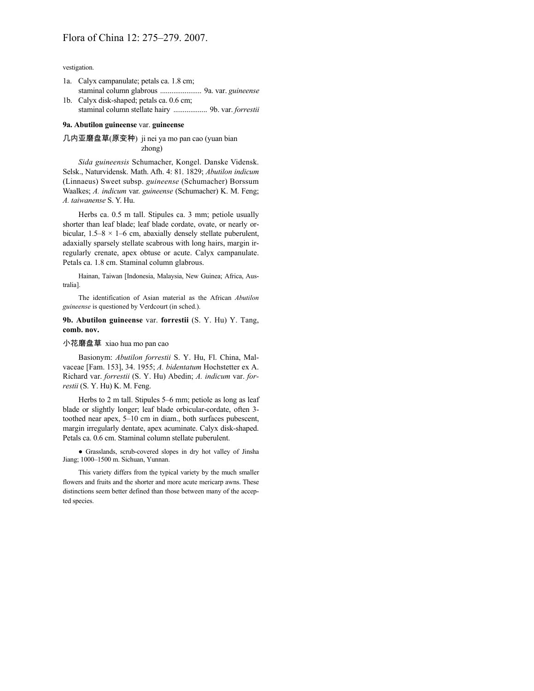vestigation.

- 1a. Calyx campanulate; petals ca. 1.8 cm; staminal column glabrous ...................... 9a. var. *guineense*
- 1b. Calyx disk-shaped; petals ca. 0.6 cm; staminal column stellate hairy .................. 9b. var. *forrestii*

## **9a. Abutilon guineense** var. **guineense**

# 几内亚磨盘草(原变种) ji nei ya mo pan cao (yuan bian zhong)

*Sida guineensis* Schumacher, Kongel. Danske Vidensk. Selsk., Naturvidensk. Math. Afh. 4: 81. 1829; *Abutilon indicum* (Linnaeus) Sweet subsp. *guineense* (Schumacher) Borssum Waalkes; *A. indicum* var. *guineense* (Schumacher) K. M. Feng; *A. taiwanense* S. Y. Hu.

Herbs ca. 0.5 m tall. Stipules ca. 3 mm; petiole usually shorter than leaf blade; leaf blade cordate, ovate, or nearly orbicular,  $1.5-8 \times 1-6$  cm, abaxially densely stellate puberulent, adaxially sparsely stellate scabrous with long hairs, margin irregularly crenate, apex obtuse or acute. Calyx campanulate. Petals ca. 1.8 cm. Staminal column glabrous.

Hainan, Taiwan [Indonesia, Malaysia, New Guinea; Africa, Australia].

The identification of Asian material as the African *Abutilon guineense* is questioned by Verdcourt (in sched.).

**9b. Abutilon guineense** var. **forrestii** (S. Y. Hu) Y. Tang, **comb. nov.**

# 小花磨盘草 xiao hua mo pan cao

Basionym: *Abutilon forrestii* S. Y. Hu, Fl. China, Malvaceae [Fam. 153], 34. 1955; *A. bidentatum* Hochstetter ex A. Richard var. *forrestii* (S. Y. Hu) Abedin; *A. indicum* var. *forrestii* (S. Y. Hu) K. M. Feng.

Herbs to 2 m tall. Stipules 5–6 mm; petiole as long as leaf blade or slightly longer; leaf blade orbicular-cordate, often 3 toothed near apex, 5–10 cm in diam., both surfaces pubescent, margin irregularly dentate, apex acuminate. Calyx disk-shaped. Petals ca. 0.6 cm. Staminal column stellate puberulent.

● Grasslands, scrub-covered slopes in dry hot valley of Jinsha Jiang; 1000–1500 m. Sichuan, Yunnan.

This variety differs from the typical variety by the much smaller flowers and fruits and the shorter and more acute mericarp awns. These distinctions seem better defined than those between many of the accepted species.